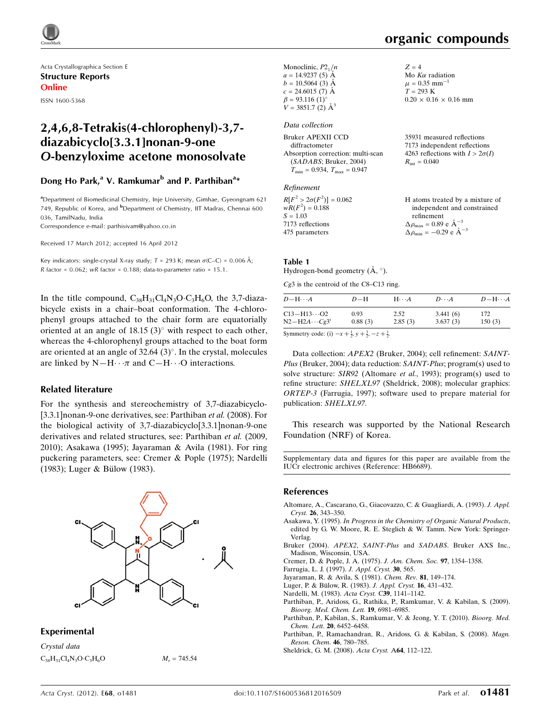

Acta Crystallographica Section E Structure Reports Online ISSN 1600-5368

# 2,4,6,8-Tetrakis(4-chlorophenyl)-3,7 diazabicyclo[3.3.1]nonan-9-one O-benzyloxime acetone monosolvate

#### Dong Ho Park,<sup>a</sup> V. Ramkumar<sup>b</sup> and P. Parthiban<sup>a</sup>\*

<sup>a</sup>Department of Biomedicinal Chemistry, Inje University, Gimhae, Gyeongnam 621 749, Republic of Korea, and <sup>b</sup>Department of Chemistry, IIT Madras, Chennai 600 036, TamilNadu, India

Correspondence e-mail: [parthisivam@yahoo.co.in](http://scripts.iucr.org/cgi-bin/cr.cgi?rm=pdfbb&cnor=hb6689&bbid=BB11)

Received 17 March 2012; accepted 16 April 2012

Key indicators: single-crystal X-ray study;  $T = 293$  K; mean  $\sigma$ (C–C) = 0.006 Å;  $R$  factor = 0.062; wR factor = 0.188; data-to-parameter ratio = 15.1.

In the title compound,  $C_{38}H_{31}Cl_4N_3O \cdot C_3H_6O$ , the 3,7-diazabicycle exists in a chair–boat conformation. The 4-chlorophenyl groups attached to the chair form are equatorially oriented at an angle of 18.15 (3) $\degree$  with respect to each other, whereas the 4-chlorophenyl groups attached to the boat form are oriented at an angle of  $32.64$  (3)<sup>o</sup>. In the crystal, molecules are linked by  $N-H\cdots\pi$  and  $C-H\cdots O$  interactions.

#### Related literature

For the synthesis and stereochemistry of 3,7-diazabicyclo- [3.3.1] nonan-9-one derivatives, see: Parthiban et al. (2008). For the biological activity of 3,7-diazabicyclo[3.3.1]nonan-9-one derivatives and related structures, see: Parthiban et al. (2009, 2010); Asakawa (1995); Jayaraman & Avila (1981). For ring puckering parameters, see: Cremer & Pople (1975); Nardelli  $(1983)$ ; Luger & Bülow  $(1983)$ .



#### Experimental

Crystal data  $C_{38}H_{31}Cl_4N_3O·C_3H_6O$ 

 $M_r = 745.54$ 

organic compounds

| Monoclinic, $P2_1/n$<br>$a = 14.9237(5)$ Å<br>$b = 10.5064$ (3) Å<br>$c = 24.6015(7)$ Å<br>$\beta = 93.116$ (1) <sup>o</sup><br>$V = 3851.7$ (2) $\AA^3$ | $Z = 4$<br>Mo $K\alpha$ radiation<br>$\mu = 0.35$ mm <sup>-1</sup><br>$T = 293 \text{ K}$<br>$0.20 \times 0.16 \times 0.16$ mm |
|----------------------------------------------------------------------------------------------------------------------------------------------------------|--------------------------------------------------------------------------------------------------------------------------------|
| Data collection                                                                                                                                          |                                                                                                                                |
| Bruker APEXII CCD<br>diffractometer<br>Absorption correction: multi-scan<br>(SADABS; Bruker, 2004)<br>$T_{\min} = 0.934$ , $T_{\max} = 0.947$            | 35931 measured reflections<br>7173 independent reflections<br>4263 reflections with $I > 2\sigma(I)$<br>$R_{\rm int} = 0.040$  |

#### Refinement

| $R[F^2 > 2\sigma(F^2)] = 0.062$ | H atoms treated by a mixture of                    |
|---------------------------------|----------------------------------------------------|
| $wR(F^2) = 0.188$               | independent and constrained                        |
| $S = 1.03$                      | refinement                                         |
| 7173 reflections                | $\Delta \rho_{\text{max}} = 0.89 \text{ e A}^{-3}$ |
| 475 parameters                  | $\Delta \rho_{\rm min} = -0.29$ e $\rm \AA^{-3}$   |

#### Table 1

Hydrogen-bond geometry  $(\mathring{A}, \degree)$ .

Cg3 is the centroid of the C8–C13 ring.

| $D - H \cdots A$      | $D-H$   | $H\cdots A$ | $D\cdots A$ | $D - H \cdots A$ |
|-----------------------|---------|-------------|-------------|------------------|
| $C13 - H13 \cdots O2$ | 0.93    | 2.52        | 3.441(6)    | 172              |
| $N2-H2A\cdots Cg3^i$  | 0.88(3) | 2.85(3)     | 3.637(3)    | 150(3)           |

Symmetry code: (i)  $-x + \frac{1}{2}$ ,  $y + \frac{3}{2}$ ,  $-z + \frac{1}{2}$ .

Data collection: APEX2 (Bruker, 2004); cell refinement: SAINT-Plus (Bruker, 2004); data reduction: SAINT-Plus; program(s) used to solve structure: SIR92 (Altomare et al., 1993); program(s) used to refine structure: SHELXL97 (Sheldrick, 2008); molecular graphics: ORTEP-3 (Farrugia, 1997); software used to prepare material for publication: SHELXL97.

This research was supported by the National Research Foundation (NRF) of Korea.

Supplementary data and figures for this paper are available from the IUCr electronic archives (Reference: HB6689).

#### References

- [Altomare, A., Cascarano, G., Giacovazzo, C. & Guagliardi, A. \(1993\).](http://scripts.iucr.org/cgi-bin/cr.cgi?rm=pdfbb&cnor=hb6689&bbid=BB12) J. Appl. Cryst. 26[, 343–350.](http://scripts.iucr.org/cgi-bin/cr.cgi?rm=pdfbb&cnor=hb6689&bbid=BB12)
- Asakawa, Y. (1995). [In Progress in the Chemistry of Organic Natural Products](http://scripts.iucr.org/cgi-bin/cr.cgi?rm=pdfbb&cnor=hb6689&bbid=BB1), [edited by G. W. Moore, R. E. Steglich & W. Tamm. New York: Springer-](http://scripts.iucr.org/cgi-bin/cr.cgi?rm=pdfbb&cnor=hb6689&bbid=BB1)[Verlag.](http://scripts.iucr.org/cgi-bin/cr.cgi?rm=pdfbb&cnor=hb6689&bbid=BB1)
- Bruker (2004). APEX2, SAINT-Plus and SADABS[. Bruker AXS Inc.,](http://scripts.iucr.org/cgi-bin/cr.cgi?rm=pdfbb&cnor=hb6689&bbid=BB2) [Madison, Wisconsin, USA.](http://scripts.iucr.org/cgi-bin/cr.cgi?rm=pdfbb&cnor=hb6689&bbid=BB2)

[Cremer, D. & Pople, J. A. \(1975\).](http://scripts.iucr.org/cgi-bin/cr.cgi?rm=pdfbb&cnor=hb6689&bbid=BB3) J. Am. Chem. Soc. 97, 1354–1358.

- [Farrugia, L. J. \(1997\).](http://scripts.iucr.org/cgi-bin/cr.cgi?rm=pdfbb&cnor=hb6689&bbid=BB4) J. Appl. Cryst. 30, 565.
- [Jayaraman, R. & Avila, S. \(1981\).](http://scripts.iucr.org/cgi-bin/cr.cgi?rm=pdfbb&cnor=hb6689&bbid=BB5) Chem. Rev. 81, 149–174.
- Luger, P. & Bülow, R. (1983). J. Appl. Cryst. 16, 431-432.
- [Nardelli, M. \(1983\).](http://scripts.iucr.org/cgi-bin/cr.cgi?rm=pdfbb&cnor=hb6689&bbid=BB7) Acta Cryst. C39, 1141–1142.
- [Parthiban, P., Aridoss, G., Rathika, P., Ramkumar, V. & Kabilan, S. \(2009\).](http://scripts.iucr.org/cgi-bin/cr.cgi?rm=pdfbb&cnor=hb6689&bbid=BB8) [Bioorg. Med. Chem. Lett.](http://scripts.iucr.org/cgi-bin/cr.cgi?rm=pdfbb&cnor=hb6689&bbid=BB8) 19, 6981–6985.
- [Parthiban, P., Kabilan, S., Ramkumar, V. & Jeong, Y. T. \(2010\).](http://scripts.iucr.org/cgi-bin/cr.cgi?rm=pdfbb&cnor=hb6689&bbid=BB9) Bioorg. Med. Chem. Lett. 20[, 6452–6458.](http://scripts.iucr.org/cgi-bin/cr.cgi?rm=pdfbb&cnor=hb6689&bbid=BB9)
- [Parthiban, P., Ramachandran, R., Aridoss, G. & Kabilan, S. \(2008\).](http://scripts.iucr.org/cgi-bin/cr.cgi?rm=pdfbb&cnor=hb6689&bbid=BB10) Magn. [Reson. Chem](http://scripts.iucr.org/cgi-bin/cr.cgi?rm=pdfbb&cnor=hb6689&bbid=BB10). 46, 780–785.
- [Sheldrick, G. M. \(2008\).](http://scripts.iucr.org/cgi-bin/cr.cgi?rm=pdfbb&cnor=hb6689&bbid=BB11) Acta Cryst. A64, 112–122.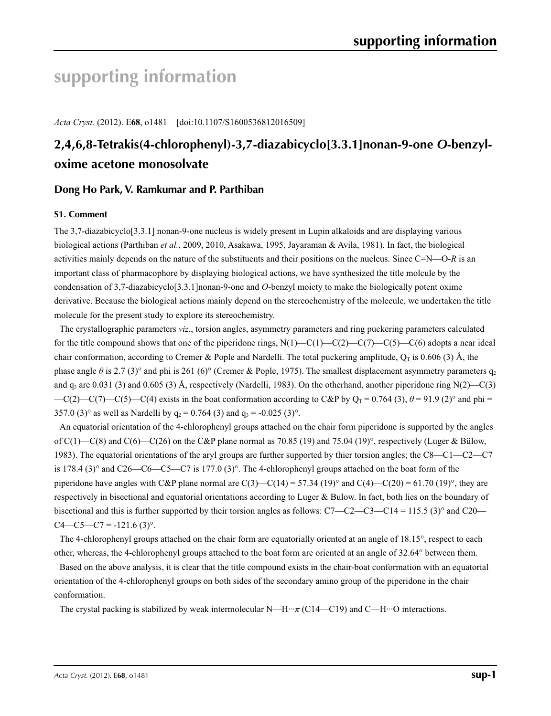# **supporting information**

*Acta Cryst.* (2012). E**68**, o1481 [doi:10.1107/S1600536812016509]

# **2,4,6,8-Tetrakis(4-chlorophenyl)-3,7-diazabicyclo[3.3.1]nonan-9-one** *O***-benzyloxime acetone monosolvate**

### **Dong Ho Park, V. Ramkumar and P. Parthiban**

#### **S1. Comment**

The 3,7-diazabicyclo[3.3.1] nonan-9-one nucleus is widely present in Lupin alkaloids and are displaying various biological actions (Parthiban *et al.*, 2009, 2010, Asakawa, 1995, Jayaraman & Avila, 1981). In fact, the biological activities mainly depends on the nature of the substituents and their positions on the nucleus. Since C=N—O-*R* is an important class of pharmacophore by displaying biological actions, we have synthesized the title molcule by the condensation of 3,7-diazabicyclo[3.3.1]nonan-9-one and *O*-benzyl moiety to make the biologically potent oxime derivative. Because the biological actions mainly depend on the stereochemistry of the molecule, we undertaken the title molecule for the present study to explore its stereochemistry.

The crystallographic parameters *viz*., torsion angles, asymmetry parameters and ring puckering parameters calculated for the title compound shows that one of the piperidone rings,  $N(1)$ —C(1)—C(2)—C(7)—C(5)—C(6) adopts a near ideal chair conformation, according to Cremer & Pople and Nardelli. The total puckering amplitude,  $Q_T$  is 0.606 (3) Å, the phase angle  $\theta$  is 2.7 (3)° and phi is 261 (6)° (Cremer & Pople, 1975). The smallest displacement asymmetry parameters q<sub>2</sub> and  $q_3$  are 0.031 (3) and 0.605 (3) Å, respectively (Nardelli, 1983). On the otherhand, another piperidone ring N(2)—C(3)  $-C(2)$ —C(7)—C(5)—C(4) exists in the boat conformation according to C&P by Q<sub>T</sub> = 0.764 (3),  $\theta$  = 91.9 (2)° and phi = 357.0 (3)° as well as Nardelli by  $q_2 = 0.764$  (3) and  $q_3 = -0.025$  (3)°.

An equatorial orientation of the 4-chlorophenyl groups attached on the chair form piperidone is supported by the angles of  $C(1)$ —C(8) and  $C(6)$ —C(26) on the C&P plane normal as 70.85 (19) and 75.04 (19)°, respectively (Luger & Bülow, 1983). The equatorial orientations of the aryl groups are further supported by thier torsion angles; the C8—C1—C2—C7 is 178.4 (3)° and C26—C6—C5—C7 is 177.0 (3)°. The 4-chlorophenyl groups attached on the boat form of the piperidone have angles with C&P plane normal are  $C(3)$ — $C(14)$  = 57.34 (19)° and  $C(4)$ — $C(20)$  = 61.70 (19)°, they are respectively in bisectional and equatorial orientations according to Luger & Bulow. In fact, both lies on the boundary of bisectional and this is further supported by their torsion angles as follows:  $C7 - C2 - C3 - C14 = 115.5$  (3)° and C20—  $C4 - C5 - C7 = -121.6$  (3)<sup>o</sup>.

The 4-chlorophenyl groups attached on the chair form are equatorially oriented at an angle of 18.15°, respect to each other, whereas, the 4-chlorophenyl groups attached to the boat form are oriented at an angle of 32.64° between them.

Based on the above analysis, it is clear that the title compound exists in the chair-boat conformation with an equatorial orientation of the 4-chlorophenyl groups on both sides of the secondary amino group of the piperidone in the chair conformation.

The crystal packing is stabilized by weak intermolecular N—H···*π* (C14—C19) and C—H···O interactions.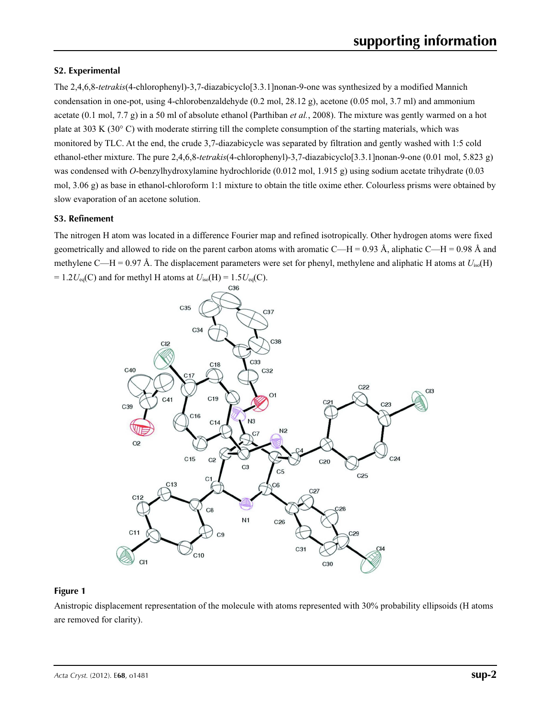#### **S2. Experimental**

The 2,4,6,8-*tetrakis*(4-chlorophenyl)-3,7-diazabicyclo[3.3.1]nonan-9-one was synthesized by a modified Mannich condensation in one-pot, using 4-chlorobenzaldehyde (0.2 mol, 28.12 g), acetone (0.05 mol, 3.7 ml) and ammonium acetate (0.1 mol, 7.7 g) in a 50 ml of absolute ethanol (Parthiban *et al.*, 2008). The mixture was gently warmed on a hot plate at 303 K (30 $\degree$  C) with moderate stirring till the complete consumption of the starting materials, which was monitored by TLC. At the end, the crude 3,7-diazabicycle was separated by filtration and gently washed with 1:5 cold ethanol-ether mixture. The pure 2,4,6,8-*tetrakis*(4-chlorophenyl)-3,7-diazabicyclo[3.3.1]nonan-9-one (0.01 mol, 5.823 g) was condensed with *O*-benzylhydroxylamine hydrochloride (0.012 mol, 1.915 g) using sodium acetate trihydrate (0.03 mol, 3.06 g) as base in ethanol-chloroform 1:1 mixture to obtain the title oxime ether. Colourless prisms were obtained by slow evaporation of an acetone solution.

#### **S3. Refinement**

The nitrogen H atom was located in a difference Fourier map and refined isotropically. Other hydrogen atoms were fixed geometrically and allowed to ride on the parent carbon atoms with aromatic C—H = 0.93 Å, aliphatic C—H = 0.98 Å and methylene C—H = 0.97 Å. The displacement parameters were set for phenyl, methylene and aliphatic H atoms at *U*iso(H)  $= 1.2U_{eq}(C)$  and for methyl H atoms at  $U_{iso}(H) = 1.5U_{eq}(C)$ .



#### **Figure 1**

Anistropic displacement representation of the molecule with atoms represented with 30% probability ellipsoids (H atoms are removed for clarity).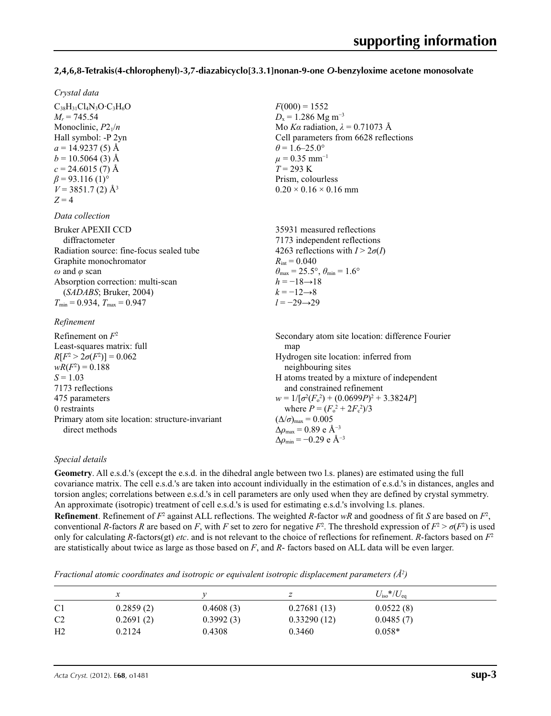#### **2,4,6,8-Tetrakis(4-chlorophenyl)-3,7-diazabicyclo[3.3.1]nonan-9-one** *O***-benzyloxime acetone monosolvate**

 $F(000) = 1552$  $D_x = 1.286$  Mg m<sup>-3</sup>

 $\theta$  = 1.6–25.0°  $\mu$  = 0.35 mm<sup>-1</sup> *T* = 293 K Prism, colourless  $0.20 \times 0.16 \times 0.16$  mm

Mo *Kα* radiation, *λ* = 0.71073 Å Cell parameters from 6628 reflections

#### *Crystal data*

 $C_{38}H_{31}Cl_4N_3O·C_3H_6O$  $M_r = 745.54$ Monoclinic, *P*21/*n* Hall symbol: -P 2yn  $a = 14.9237(5)$  Å  $b = 10.5064(3)$  Å  $c = 24.6015(7)$  Å  $\beta$  = 93.116 (1)<sup>o</sup>  $V = 3851.7(2)$  Å<sup>3</sup>  $Z = 4$ 

#### *Data collection*

| <b>Bruker APEXII CCD</b>                 | 35931 measured reflections                                              |
|------------------------------------------|-------------------------------------------------------------------------|
| diffractometer                           | 7173 independent reflections                                            |
| Radiation source: fine-focus sealed tube | 4263 reflections with $I > 2\sigma(I)$                                  |
| Graphite monochromator                   | $R_{\rm int} = 0.040$                                                   |
| $\omega$ and $\varphi$ scan              | $\theta_{\text{max}} = 25.5^{\circ}, \theta_{\text{min}} = 1.6^{\circ}$ |
| Absorption correction: multi-scan        | $h = -18 \rightarrow 18$                                                |
| (SADABS; Bruker, 2004)                   | $k = -12 \rightarrow 8$                                                 |
| $T_{\min} = 0.934$ , $T_{\max} = 0.947$  | $l = -29 \rightarrow 29$                                                |
|                                          |                                                                         |

#### *Refinement*

| Refinement on $F^2$                             | Secondary atom site location: difference Fourier  |
|-------------------------------------------------|---------------------------------------------------|
| Least-squares matrix: full                      | map                                               |
| $R[F^2 > 2\sigma(F^2)] = 0.062$                 | Hydrogen site location: inferred from             |
| $wR(F^2) = 0.188$                               | neighbouring sites                                |
| $S = 1.03$                                      | H atoms treated by a mixture of independent       |
| 7173 reflections                                | and constrained refinement                        |
| 475 parameters                                  | $w = 1/[\sigma^2(F_0^2) + (0.0699P)^2 + 3.3824P]$ |
| 0 restraints                                    | where $P = (F_0^2 + 2F_c^2)/3$                    |
| Primary atom site location: structure-invariant | $(\Delta/\sigma)_{\text{max}} = 0.005$            |
| direct methods                                  | $\Delta\rho_{\rm max} = 0.89$ e Å <sup>-3</sup>   |
|                                                 | $\Delta\rho_{\rm min} = -0.29$ e Å <sup>-3</sup>  |

#### *Special details*

**Geometry**. All e.s.d.'s (except the e.s.d. in the dihedral angle between two l.s. planes) are estimated using the full covariance matrix. The cell e.s.d.'s are taken into account individually in the estimation of e.s.d.'s in distances, angles and torsion angles; correlations between e.s.d.'s in cell parameters are only used when they are defined by crystal symmetry. An approximate (isotropic) treatment of cell e.s.d.'s is used for estimating e.s.d.'s involving l.s. planes. **Refinement**. Refinement of  $F^2$  against ALL reflections. The weighted *R*-factor  $wR$  and goodness of fit *S* are based on  $F^2$ , conventional *R*-factors *R* are based on *F*, with *F* set to zero for negative  $F^2$ . The threshold expression of  $F^2 > \sigma(F^2)$  is used only for calculating *R*-factors(gt) *etc*. and is not relevant to the choice of reflections for refinement. *R*-factors based on *F*<sup>2</sup> are statistically about twice as large as those based on *F*, and *R*- factors based on ALL data will be even larger.

*Fractional atomic coordinates and isotropic or equivalent isotropic displacement parameters (Å<sup>2</sup>)* 

|                | $\boldsymbol{\chi}$ |           |             | $U_{\rm iso}*/U_{\rm eq}$ |  |
|----------------|---------------------|-----------|-------------|---------------------------|--|
| C <sub>1</sub> | 0.2859(2)           | 0.4608(3) | 0.27681(13) | 0.0522(8)                 |  |
| C <sub>2</sub> | 0.2691(2)           | 0.3992(3) | 0.33290(12) | 0.0485(7)                 |  |
| H <sub>2</sub> | 0.2124              | 0.4308    | 0.3460      | $0.058*$                  |  |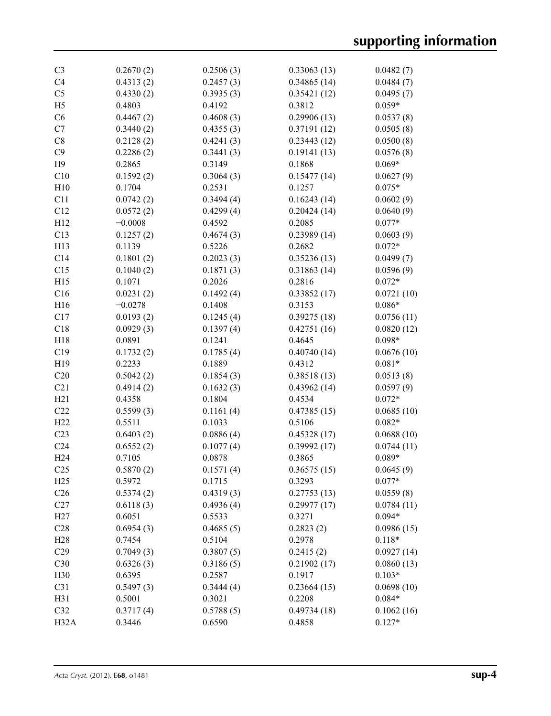| C <sub>3</sub>  | 0.2670(2) | 0.2506(3) | 0.33063(13) | 0.0482(7)  |
|-----------------|-----------|-----------|-------------|------------|
| C4              | 0.4313(2) | 0.2457(3) | 0.34865(14) | 0.0484(7)  |
| C <sub>5</sub>  | 0.4330(2) | 0.3935(3) | 0.35421(12) | 0.0495(7)  |
| H <sub>5</sub>  | 0.4803    | 0.4192    | 0.3812      | $0.059*$   |
| C6              | 0.4467(2) | 0.4608(3) | 0.29906(13) | 0.0537(8)  |
| C7              | 0.3440(2) | 0.4355(3) | 0.37191(12) | 0.0505(8)  |
| C8              | 0.2128(2) | 0.4241(3) | 0.23443(12) | 0.0500(8)  |
| C9              | 0.2286(2) | 0.3441(3) | 0.19141(13) | 0.0576(8)  |
| H9              | 0.2865    | 0.3149    | 0.1868      | $0.069*$   |
| C10             | 0.1592(2) | 0.3064(3) | 0.15477(14) | 0.0627(9)  |
| H10             | 0.1704    | 0.2531    | 0.1257      | $0.075*$   |
| C11             | 0.0742(2) | 0.3494(4) | 0.16243(14) | 0.0602(9)  |
| C12             | 0.0572(2) | 0.4299(4) | 0.20424(14) | 0.0640(9)  |
| H12             | $-0.0008$ | 0.4592    | 0.2085      | $0.077*$   |
| C13             | 0.1257(2) | 0.4674(3) | 0.23989(14) | 0.0603(9)  |
| H13             | 0.1139    | 0.5226    | 0.2682      | $0.072*$   |
| C14             | 0.1801(2) | 0.2023(3) | 0.35236(13) | 0.0499(7)  |
| C15             | 0.1040(2) | 0.1871(3) | 0.31863(14) | 0.0596(9)  |
| H15             | 0.1071    | 0.2026    | 0.2816      | $0.072*$   |
| C16             | 0.0231(2) | 0.1492(4) | 0.33852(17) | 0.0721(10) |
| H16             | $-0.0278$ | 0.1408    | 0.3153      | $0.086*$   |
| C17             | 0.0193(2) | 0.1245(4) | 0.39275(18) | 0.0756(11) |
| C18             | 0.0929(3) | 0.1397(4) | 0.42751(16) | 0.0820(12) |
| H18             | 0.0891    | 0.1241    | 0.4645      | $0.098*$   |
| C19             | 0.1732(2) | 0.1785(4) | 0.40740(14) | 0.0676(10) |
| H19             | 0.2233    | 0.1889    | 0.4312      | $0.081*$   |
| C20             | 0.5042(2) | 0.1854(3) | 0.38518(13) | 0.0513(8)  |
| C21             | 0.4914(2) | 0.1632(3) | 0.43962(14) | 0.0597(9)  |
| H21             | 0.4358    | 0.1804    | 0.4534      | $0.072*$   |
| C22             | 0.5599(3) | 0.1161(4) | 0.47385(15) | 0.0685(10) |
| H <sub>22</sub> | 0.5511    | 0.1033    | 0.5106      | $0.082*$   |
| C <sub>23</sub> | 0.6403(2) | 0.0886(4) | 0.45328(17) | 0.0688(10) |
| C <sub>24</sub> | 0.6552(2) | 0.1077(4) | 0.39992(17) | 0.0744(11) |
| H <sub>24</sub> | 0.7105    | 0.0878    | 0.3865      | $0.089*$   |
| C <sub>25</sub> | 0.5870(2) | 0.1571(4) | 0.36575(15) | 0.0645(9)  |
| H25             | 0.5972    | 0.1715    | 0.3293      | $0.077*$   |
| C <sub>26</sub> | 0.5374(2) | 0.4319(3) | 0.27753(13) | 0.0559(8)  |
| C27             | 0.6118(3) | 0.4936(4) | 0.29977(17) | 0.0784(11) |
| H27             | 0.6051    | 0.5533    | 0.3271      | $0.094*$   |
| C28             | 0.6954(3) | 0.4685(5) | 0.2823(2)   | 0.0986(15) |
| H <sub>28</sub> | 0.7454    | 0.5104    | 0.2978      | $0.118*$   |
| C29             | 0.7049(3) | 0.3807(5) | 0.2415(2)   | 0.0927(14) |
| C30             | 0.6326(3) | 0.3186(5) | 0.21902(17) | 0.0860(13) |
| H <sub>30</sub> | 0.6395    | 0.2587    | 0.1917      | $0.103*$   |
| C31             | 0.5497(3) | 0.3444(4) | 0.23664(15) | 0.0698(10) |
| H31             | 0.5001    | 0.3021    | 0.2208      | $0.084*$   |
| C32             | 0.3717(4) | 0.5788(5) | 0.49734(18) | 0.1062(16) |
| H32A            | 0.3446    | 0.6590    | 0.4858      | $0.127*$   |
|                 |           |           |             |            |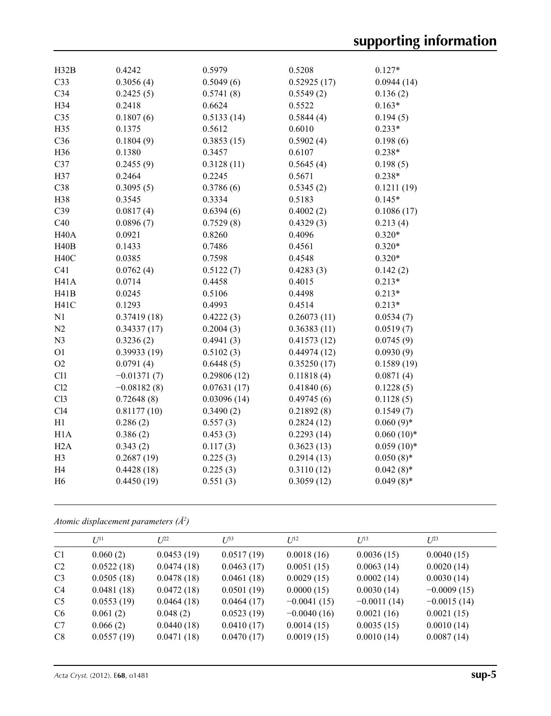| H32B              | 0.4242        | 0.5979      | 0.5208      | $0.127*$               |
|-------------------|---------------|-------------|-------------|------------------------|
| C <sub>33</sub>   | 0.3056(4)     | 0.5049(6)   | 0.52925(17) |                        |
| C34               | 0.2425(5)     | 0.5741(8)   | 0.5549(2)   | 0.0944(14)<br>0.136(2) |
| H34               | 0.2418        | 0.6624      | 0.5522      | $0.163*$               |
|                   |               |             |             |                        |
| C <sub>35</sub>   | 0.1807(6)     | 0.5133(14)  | 0.5844(4)   | 0.194(5)               |
| H35               | 0.1375        | 0.5612      | 0.6010      | $0.233*$               |
| C36               | 0.1804(9)     | 0.3853(15)  | 0.5902(4)   | 0.198(6)               |
| H36               | 0.1380        | 0.3457      | 0.6107      | $0.238*$               |
| C37               | 0.2455(9)     | 0.3128(11)  | 0.5645(4)   | 0.198(5)               |
| H37               | 0.2464        | 0.2245      | 0.5671      | $0.238*$               |
| C38               | 0.3095(5)     | 0.3786(6)   | 0.5345(2)   | 0.1211(19)             |
| H38               | 0.3545        | 0.3334      | 0.5183      | $0.145*$               |
| C39               | 0.0817(4)     | 0.6394(6)   | 0.4002(2)   | 0.1086(17)             |
| C40               | 0.0896(7)     | 0.7529(8)   | 0.4329(3)   | 0.213(4)               |
| <b>H40A</b>       | 0.0921        | 0.8260      | 0.4096      | $0.320*$               |
| H40B              | 0.1433        | 0.7486      | 0.4561      | $0.320*$               |
| <b>H40C</b>       | 0.0385        | 0.7598      | 0.4548      | $0.320*$               |
| C41               | 0.0762(4)     | 0.5122(7)   | 0.4283(3)   | 0.142(2)               |
| H <sub>41</sub> A | 0.0714        | 0.4458      | 0.4015      | $0.213*$               |
| H41B              | 0.0245        | 0.5106      | 0.4498      | $0.213*$               |
| H <sub>41</sub> C | 0.1293        | 0.4993      | 0.4514      | $0.213*$               |
| N <sub>1</sub>    | 0.37419(18)   | 0.4222(3)   | 0.26073(11) | 0.0534(7)              |
| N <sub>2</sub>    | 0.34337(17)   | 0.2004(3)   | 0.36383(11) | 0.0519(7)              |
| N <sub>3</sub>    | 0.3236(2)     | 0.4941(3)   | 0.41573(12) | 0.0745(9)              |
| O <sub>1</sub>    | 0.39933(19)   | 0.5102(3)   | 0.44974(12) | 0.0930(9)              |
| O <sub>2</sub>    | 0.0791(4)     | 0.6448(5)   | 0.35250(17) | 0.1589(19)             |
| C11               | $-0.01371(7)$ | 0.29806(12) | 0.11818(4)  | 0.0871(4)              |
| C12               | $-0.08182(8)$ | 0.07631(17) | 0.41840(6)  | 0.1228(5)              |
| Cl <sub>3</sub>   | 0.72648(8)    | 0.03096(14) | 0.49745(6)  | 0.1128(5)              |
| C14               | 0.81177(10)   | 0.3490(2)   | 0.21892(8)  | 0.1549(7)              |
| H1                | 0.286(2)      | 0.557(3)    | 0.2824(12)  | $0.060(9)*$            |
| H1A               | 0.386(2)      | 0.453(3)    | 0.2293(14)  | $0.060(10)*$           |
| H2A               | 0.343(2)      | 0.117(3)    | 0.3623(13)  | $0.059(10)*$           |
| H <sub>3</sub>    | 0.2687(19)    | 0.225(3)    | 0.2914(13)  | $0.050(8)$ *           |
| H <sub>4</sub>    | 0.4428(18)    | 0.225(3)    | 0.3110(12)  | $0.042(8)$ *           |
| H <sub>6</sub>    | 0.4450(19)    | 0.551(3)    | 0.3059(12)  | $0.049(8)$ *           |
|                   |               |             |             |                        |

#### *Atomic displacement parameters (Å2 )*

|                | $I^{11}$   | $L^{22}$   | $I^{\beta 3}$ | $U^{12}$      | $U^{13}$      | $U^{23}$      |
|----------------|------------|------------|---------------|---------------|---------------|---------------|
| C <sub>1</sub> | 0.060(2)   | 0.0453(19) | 0.0517(19)    | 0.0018(16)    | 0.0036(15)    | 0.0040(15)    |
| C <sub>2</sub> | 0.0522(18) | 0.0474(18) | 0.0463(17)    | 0.0051(15)    | 0.0063(14)    | 0.0020(14)    |
| C <sub>3</sub> | 0.0505(18) | 0.0478(18) | 0.0461(18)    | 0.0029(15)    | 0.0002(14)    | 0.0030(14)    |
| C4             | 0.0481(18) | 0.0472(18) | 0.0501(19)    | 0.0000(15)    | 0.0030(14)    | $-0.0009(15)$ |
| C <sub>5</sub> | 0.0553(19) | 0.0464(18) | 0.0464(17)    | $-0.0041(15)$ | $-0.0011(14)$ | $-0.0015(14)$ |
| C <sub>6</sub> | 0.061(2)   | 0.048(2)   | 0.0523(19)    | $-0.0040(16)$ | 0.0021(16)    | 0.0021(15)    |
| C7             | 0.066(2)   | 0.0440(18) | 0.0410(17)    | 0.0014(15)    | 0.0035(15)    | 0.0010(14)    |
| C8             | 0.0557(19) | 0.0471(18) | 0.0470(17)    | 0.0019(15)    | 0.0010(14)    | 0.0087(14)    |
|                |            |            |               |               |               |               |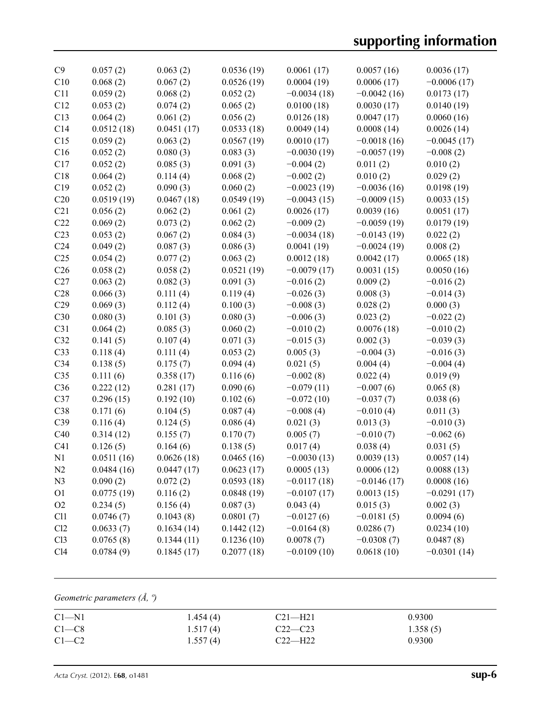# **supporting information**

| C9              | 0.057(2)   | 0.063(2)   | 0.0536(19) | 0.0061(17)    | 0.0057(16)    | 0.0036(17)    |
|-----------------|------------|------------|------------|---------------|---------------|---------------|
| C10             | 0.068(2)   | 0.067(2)   | 0.0526(19) | 0.0004(19)    | 0.0006(17)    | $-0.0006(17)$ |
| C11             | 0.059(2)   | 0.068(2)   | 0.052(2)   | $-0.0034(18)$ | $-0.0042(16)$ | 0.0173(17)    |
| C12             | 0.053(2)   | 0.074(2)   | 0.065(2)   | 0.0100(18)    | 0.0030(17)    | 0.0140(19)    |
| C13             | 0.064(2)   | 0.061(2)   | 0.056(2)   | 0.0126(18)    | 0.0047(17)    | 0.0060(16)    |
| C14             | 0.0512(18) | 0.0451(17) | 0.0533(18) | 0.0049(14)    | 0.0008(14)    | 0.0026(14)    |
| C15             | 0.059(2)   | 0.063(2)   | 0.0567(19) | 0.0010(17)    | $-0.0018(16)$ | $-0.0045(17)$ |
| C16             | 0.052(2)   | 0.080(3)   | 0.083(3)   | $-0.0030(19)$ | $-0.0057(19)$ | $-0.008(2)$   |
| C17             | 0.052(2)   | 0.085(3)   | 0.091(3)   | $-0.004(2)$   | 0.011(2)      | 0.010(2)      |
| C18             | 0.064(2)   | 0.114(4)   | 0.068(2)   | $-0.002(2)$   | 0.010(2)      | 0.029(2)      |
| C19             | 0.052(2)   | 0.090(3)   | 0.060(2)   | $-0.0023(19)$ | $-0.0036(16)$ | 0.0198(19)    |
| C20             | 0.0519(19) | 0.0467(18) | 0.0549(19) | $-0.0043(15)$ | $-0.0009(15)$ | 0.0033(15)    |
| C21             | 0.056(2)   | 0.062(2)   | 0.061(2)   | 0.0026(17)    | 0.0039(16)    | 0.0051(17)    |
| C22             | 0.069(2)   | 0.073(2)   | 0.062(2)   | $-0.009(2)$   | $-0.0059(19)$ | 0.0179(19)    |
| C <sub>23</sub> | 0.053(2)   | 0.067(2)   | 0.084(3)   | $-0.0034(18)$ | $-0.0143(19)$ | 0.022(2)      |
| C <sub>24</sub> | 0.049(2)   | 0.087(3)   | 0.086(3)   | 0.0041(19)    | $-0.0024(19)$ | 0.008(2)      |
| C <sub>25</sub> | 0.054(2)   | 0.077(2)   | 0.063(2)   | 0.0012(18)    | 0.0042(17)    | 0.0065(18)    |
| C <sub>26</sub> | 0.058(2)   | 0.058(2)   | 0.0521(19) | $-0.0079(17)$ | 0.0031(15)    | 0.0050(16)    |
| C27             | 0.063(2)   | 0.082(3)   | 0.091(3)   | $-0.016(2)$   | 0.009(2)      | $-0.016(2)$   |
| C28             | 0.066(3)   | 0.111(4)   | 0.119(4)   | $-0.026(3)$   | 0.008(3)      | $-0.014(3)$   |
| C29             | 0.069(3)   | 0.112(4)   | 0.100(3)   | $-0.008(3)$   | 0.028(2)      | 0.000(3)      |
| C30             | 0.080(3)   | 0.101(3)   | 0.080(3)   | $-0.006(3)$   | 0.023(2)      | $-0.022(2)$   |
| C31             | 0.064(2)   | 0.085(3)   | 0.060(2)   | $-0.010(2)$   | 0.0076(18)    | $-0.010(2)$   |
| C32             | 0.141(5)   | 0.107(4)   | 0.071(3)   | $-0.015(3)$   | 0.002(3)      | $-0.039(3)$   |
| C33             | 0.118(4)   | 0.111(4)   | 0.053(2)   | 0.005(3)      | $-0.004(3)$   | $-0.016(3)$   |
| C <sub>34</sub> | 0.138(5)   | 0.175(7)   | 0.094(4)   | 0.021(5)      | 0.004(4)      | $-0.004(4)$   |
| C <sub>35</sub> | 0.111(6)   | 0.358(17)  | 0.116(6)   | $-0.002(8)$   | 0.022(4)      | 0.019(9)      |
| C36             | 0.222(12)  | 0.281(17)  | 0.090(6)   | $-0.079(11)$  | $-0.007(6)$   | 0.065(8)      |
| C37             | 0.296(15)  | 0.192(10)  | 0.102(6)   | $-0.072(10)$  | $-0.037(7)$   | 0.038(6)      |
| C38             | 0.171(6)   | 0.104(5)   | 0.087(4)   | $-0.008(4)$   | $-0.010(4)$   | 0.011(3)      |
| C39             | 0.116(4)   | 0.124(5)   | 0.086(4)   | 0.021(3)      | 0.013(3)      | $-0.010(3)$   |
| C40             | 0.314(12)  | 0.155(7)   | 0.170(7)   | 0.005(7)      | $-0.010(7)$   | $-0.062(6)$   |
| C <sub>41</sub> | 0.126(5)   | 0.164(6)   | 0.138(5)   | 0.017(4)      | 0.038(4)      | 0.031(5)      |
| N1              | 0.0511(16) | 0.0626(18) | 0.0465(16) | $-0.0030(13)$ | 0.0039(13)    | 0.0057(14)    |
| N2              | 0.0484(16) | 0.0447(17) | 0.0623(17) | 0.0005(13)    | 0.0006(12)    | 0.0088(13)    |
| N <sub>3</sub>  | 0.090(2)   | 0.072(2)   | 0.0593(18) | $-0.0117(18)$ | $-0.0146(17)$ | 0.0008(16)    |
| O <sub>1</sub>  | 0.0775(19) | 0.116(2)   | 0.0848(19) | $-0.0107(17)$ | 0.0013(15)    | $-0.0291(17)$ |
| O2              | 0.234(5)   | 0.156(4)   | 0.087(3)   | 0.043(4)      | 0.015(3)      | 0.002(3)      |
| C11             | 0.0746(7)  | 0.1043(8)  | 0.0801(7)  | $-0.0127(6)$  | $-0.0181(5)$  | 0.0094(6)     |
| Cl2             | 0.0633(7)  | 0.1634(14) | 0.1442(12) | $-0.0164(8)$  | 0.0286(7)     | 0.0234(10)    |
| C13             | 0.0765(8)  | 0.1344(11) | 0.1236(10) | 0.0078(7)     | $-0.0308(7)$  | 0.0487(8)     |
| Cl4             | 0.0784(9)  | 0.1845(17) | 0.2077(18) | $-0.0109(10)$ | 0.0618(10)    | $-0.0301(14)$ |
|                 |            |            |            |               |               |               |

## *Geometric parameters (Å, º)*

| $C1 - N1$ | 1.454(4) | $C21 - H21$ | 0.9300   |
|-----------|----------|-------------|----------|
| $C1-C8$   | 1.517(4) | $C22-C23$   | 1.358(5) |
| $C1-C2$   | 1.557(4) | $C22-H22$   | 0.9300   |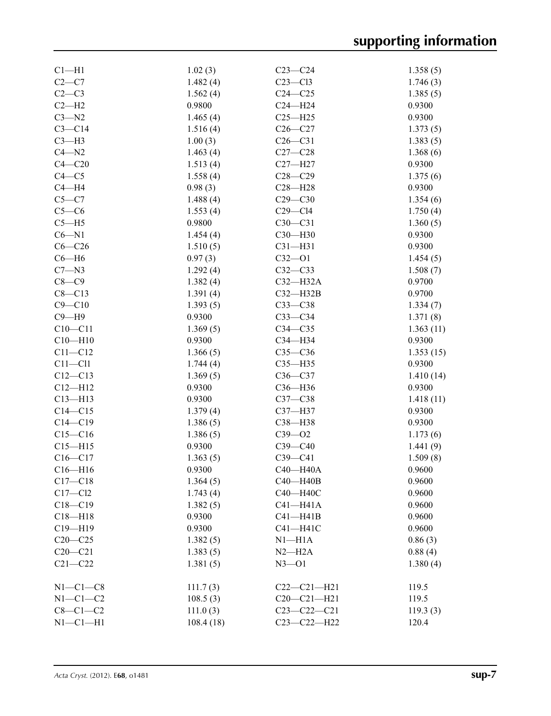| $Cl-H1$     | 1.02(3)   | $C23-C24$         | 1.358(5)  |
|-------------|-----------|-------------------|-----------|
| $C2-C7$     | 1.482(4)  | $C23 - C13$       | 1.746(3)  |
| $C2-C3$     | 1.562(4)  | $C24 - C25$       | 1.385(5)  |
| $C2-H2$     | 0.9800    | $C24 - H24$       | 0.9300    |
| $C3 - N2$   | 1.465(4)  | $C25 - H25$       | 0.9300    |
| $C3 - C14$  | 1.516(4)  | $C26 - C27$       | 1.373(5)  |
| $C3-H3$     | 1.00(3)   | $C26-C31$         | 1.383(5)  |
| $C4 - N2$   | 1.463(4)  | $C27 - C28$       | 1.368(6)  |
| $C4 - C20$  | 1.513(4)  | $C27 - H27$       | 0.9300    |
| $C4 - C5$   | 1.558(4)  | $C28 - C29$       | 1.375(6)  |
| $C4 - H4$   | 0.98(3)   | $C28 - H28$       | 0.9300    |
| $C5 - C7$   | 1.488(4)  | $C29 - C30$       | 1.354(6)  |
| $C5-C6$     | 1.553(4)  | $C29 - C14$       | 1.750(4)  |
| $C5 - H5$   | 0.9800    | $C30-C31$         |           |
| $C6 - N1$   |           |                   | 1.360(5)  |
|             | 1.454(4)  | $C30 - H30$       | 0.9300    |
| $C6-C26$    | 1.510(5)  | $C31 - H31$       | 0.9300    |
| $C6 - H6$   | 0.97(3)   | $C32 - O1$        | 1.454(5)  |
| $C7 - N3$   | 1.292(4)  | $C32-C33$         | 1.508(7)  |
| $C8-C9$     | 1.382(4)  | $C32-H32A$        | 0.9700    |
| $C8 - C13$  | 1.391(4)  | $C32 - H32B$      | 0.9700    |
| $C9 - C10$  | 1.393(5)  | $C33-C38$         | 1.334(7)  |
| $C9 - H9$   | 0.9300    | $C33-C34$         | 1.371(8)  |
| $C10 - C11$ | 1.369(5)  | $C34 - C35$       | 1.363(11) |
| $C10 - H10$ | 0.9300    | C34-H34           | 0.9300    |
| $C11 - C12$ | 1.366(5)  | $C35-C36$         | 1.353(15) |
| $C11 - C11$ | 1.744(4)  | $C35 - H35$       | 0.9300    |
| $C12 - C13$ | 1.369(5)  | $C36-C37$         | 1.410(14) |
| $C12 - H12$ | 0.9300    | C36-H36           | 0.9300    |
| $C13 - H13$ | 0.9300    | $C37-C38$         | 1.418(11) |
| $C14 - C15$ | 1.379(4)  | C37-H37           | 0.9300    |
| $C14 - C19$ | 1.386(5)  | C38-H38           | 0.9300    |
| $C15 - C16$ | 1.386(5)  | $C39 - 02$        | 1.173(6)  |
| $C15 - H15$ | 0.9300    | $C39 - C40$       | 1.441(9)  |
| $C16 - C17$ | 1.363(5)  | $C39 - C41$       | 1.509(8)  |
| $C16 - H16$ | 0.9300    | C40-H40A          | 0.9600    |
| $C17 - C18$ | 1.364(5)  | C40-H40B          | 0.9600    |
| $C17 - C12$ | 1.743(4)  | C40-H40C          | 0.9600    |
| $C18 - C19$ | 1.382(5)  | $C41 - H41A$      | 0.9600    |
| $C18 - H18$ | 0.9300    | $C41 - H41B$      | 0.9600    |
| $C19 - H19$ | 0.9300    | $C41 - H41C$      | 0.9600    |
| $C20-C25$   | 1.382(5)  | $N1 - H1A$        | 0.86(3)   |
| $C20-C21$   | 1.383(5)  | $N2-H2A$          | 0.88(4)   |
| $C21 - C22$ | 1.381(5)  | $N3 - 01$         | 1.380(4)  |
|             |           |                   |           |
| $N1-C1-C8$  | 111.7(3)  | $C22-C21-H21$     | 119.5     |
| $N1-C1-C2$  | 108.5(3)  | $C20 - C21 - H21$ | 119.5     |
| $C8-C1-C2$  | 111.0(3)  | $C23 - C22 - C21$ | 119.3(3)  |
| $N1-C1-H1$  | 108.4(18) | $C23-C22-H22$     | 120.4     |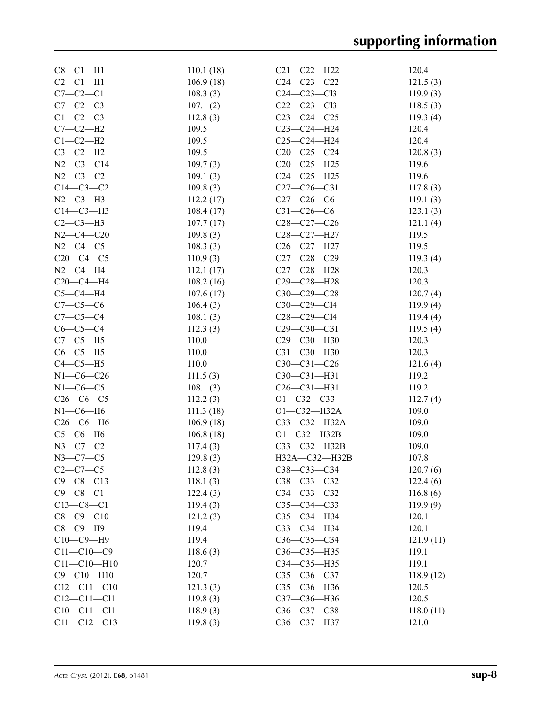| $C8-C1-H1$        | 110.1(18) | $C21 - C22 - H22$  | 120.4     |
|-------------------|-----------|--------------------|-----------|
| $C2-C1-H1$        | 106.9(18) | $C24 - C23 - C22$  | 121.5(3)  |
| $C7-C2-C1$        | 108.3(3)  | $C24 - C23 - C13$  | 119.9(3)  |
| $C7 - C2 - C3$    | 107.1(2)  | $C22-C23-C13$      | 118.5(3)  |
| $C1-C2-C3$        | 112.8(3)  | $C23-C24-C25$      | 119.3(4)  |
| $C7-C2-H2$        | 109.5     | $C23-C24-H24$      | 120.4     |
| $C1-C2-H2$        | 109.5     | $C25-C24-H24$      | 120.4     |
| $C3-C2-H2$        | 109.5     | $C20-C25-C24$      | 120.8(3)  |
| $N2 - C3 - C14$   | 109.7(3)  | $C20-C25-H25$      | 119.6     |
| $N2 - C3 - C2$    | 109.1(3)  | $C24 - C25 - H25$  | 119.6     |
| $C14-C3-C2$       | 109.8(3)  | $C27-C26-C31$      | 117.8(3)  |
| $N2-C3-H3$        | 112.2(17) | $C27-C26-C6$       | 119.1(3)  |
| $C14-C3-H3$       | 108.4(17) | $C31 - C26 - C6$   | 123.1(3)  |
| $C2-C3-H3$        | 107.7(17) | $C28-C27-C26$      | 121.1(4)  |
| $N2 - C4 - C20$   | 109.8(3)  | C28-C27-H27        | 119.5     |
| $N2 - C4 - C5$    | 108.3(3)  | C26-C27-H27        | 119.5     |
| $C20-C4-C5$       | 110.9(3)  | $C27 - C28 - C29$  | 119.3(4)  |
| $N2 - C4 - H4$    | 112.1(17) | C27-C28-H28        | 120.3     |
| $C20-C4-H4$       | 108.2(16) | C29-C28-H28        | 120.3     |
| $C5-C4-H4$        | 107.6(17) | $C30-C29-C28$      | 120.7(4)  |
| $C7 - C5 - C6$    | 106.4(3)  | $C30-C29-C14$      | 119.9(4)  |
| $C7 - C5 - C4$    | 108.1(3)  | $C28 - C29 - C14$  | 119.4(4)  |
| $C6-C5-C4$        |           | $C29 - C30 - C31$  |           |
|                   | 112.3(3)  | C29-C30-H30        | 119.5(4)  |
| $C7-C5-H5$        | 110.0     |                    | 120.3     |
| $C6-C5-H5$        | 110.0     | C31-C30-H30        | 120.3     |
| $C4-C5-H5$        | 110.0     | $C30-C31-C26$      | 121.6(4)  |
| $N1 - C6 - C26$   | 111.5(3)  | $C30-C31-H31$      | 119.2     |
| $N1-C6-C5$        | 108.1(3)  | $C26 - C31 - H31$  | 119.2     |
| $C26-C6-C5$       | 112.2(3)  | $O1 - C32 - C33$   | 112.7(4)  |
| $N1-C6-H6$        | 111.3(18) | $O1 - C32 - H32A$  | 109.0     |
| $C26-C6-H6$       | 106.9(18) | $C33 - C32 - H32A$ | 109.0     |
| $C5-C6-H6$        | 106.8(18) | $O1 - C32 - H32B$  | 109.0     |
| $N3 - C7 - C2$    | 117.4(3)  | C33-C32-H32B       | 109.0     |
| $N3-C7-C5$        | 129.8(3)  | H32A-C32-H32B      | 107.8     |
| $C2-C7-C5$        | 112.8(3)  | C38-C33-C34        | 120.7(6)  |
| $C9 - C8 - C13$   | 118.1(3)  | C38-C33-C32        | 122.4(6)  |
| $C9 - C8 - C1$    | 122.4(3)  | C34-C33-C32        | 116.8(6)  |
| $C13 - C8 - C1$   | 119.4(3)  | $C35 - C34 - C33$  | 119.9(9)  |
| $C8 - C9 - C10$   | 121.2(3)  | C35-C34-H34        | 120.1     |
| $C8-C9-H9$        | 119.4     | $C33 - C34 - H34$  | 120.1     |
| $C10-C9-H9$       | 119.4     | $C36-C35-C34$      | 121.9(11) |
| $C11 - C10 - C9$  | 118.6(3)  | C36-C35-H35        | 119.1     |
| $C11 - C10 - H10$ | 120.7     | C34-C35-H35        | 119.1     |
| $C9 - C10 - H10$  | 120.7     | $C35 - C36 - C37$  | 118.9(12) |
| $C12 - C11 - C10$ | 121.3(3)  | C35-C36-H36        | 120.5     |
| $C12 - C11 - C11$ | 119.8(3)  | C37-C36-H36        | 120.5     |
| $C10-C11-C11$     | 118.9(3)  | C36-C37-C38        | 118.0(11) |
| $C11 - C12 - C13$ | 119.8(3)  | C36-C37-H37        | 121.0     |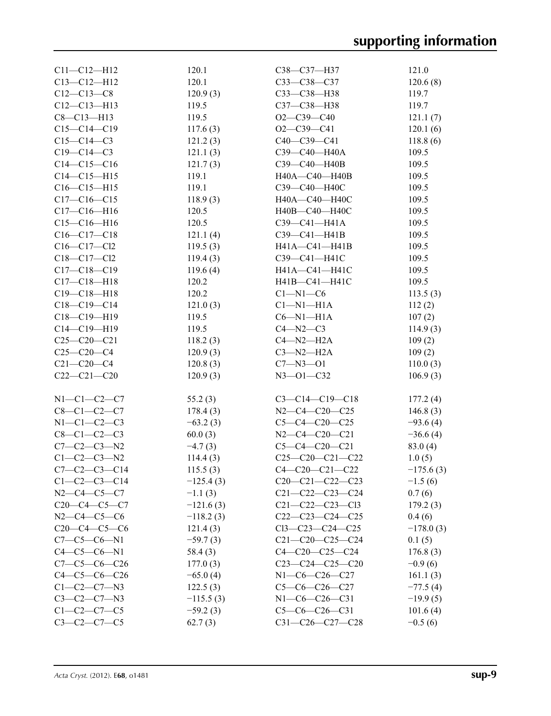| $C11 - C12 - H12$    | 120.1       | C38-C37-H37             | 121.0       |
|----------------------|-------------|-------------------------|-------------|
| $C13 - C12 - H12$    | 120.1       | C33-C38-C37             | 120.6(8)    |
| $C12-C13-C8$         | 120.9(3)    | C33-C38-H38             | 119.7       |
| $C12 - C13 - H13$    | 119.5       | C37-C38-H38             | 119.7       |
| $C8 - C13 - H13$     | 119.5       | $O2 - C39 - C40$        | 121.1(7)    |
| $C15-C14-C19$        | 117.6(3)    | $O2 - C39 - C41$        | 120.1(6)    |
| $C15-C14-C3$         | 121.2(3)    | C40-C39-C41             | 118.8(6)    |
| $C19 - C14 - C3$     | 121.1(3)    | СЗ9-С40-Н40А            | 109.5       |
| $C14 - C15 - C16$    | 121.7(3)    | C39-C40-H40B            | 109.5       |
| $C14 - C15 - H15$    | 119.1       | H40A-C40-H40B           | 109.5       |
| $C16-C15-H15$        | 119.1       | СЗ9-С40-Н40С            | 109.5       |
| $C17-C16-C15$        | 118.9(3)    | H40A-C40-H40C           | 109.5       |
| $C17 - C16 - H16$    | 120.5       | H40B-C40-H40C           | 109.5       |
| $C15-C16-H16$        | 120.5       | $C39 - C41 - H41A$      | 109.5       |
| $C16-C17-C18$        | 121.1(4)    | C39-C41-H41B            | 109.5       |
| $C16 - C17 - C12$    | 119.5(3)    | H41A-C41-H41B           | 109.5       |
| $C18 - C17 - C12$    | 119.4(3)    | C39-C41-H41C            | 109.5       |
| $C17 - C18 - C19$    | 119.6(4)    | H41A-C41-H41C           | 109.5       |
| $C17 - C18 - H18$    | 120.2       | H41B-C41-H41C           | 109.5       |
| $C19 - C18 - H18$    | 120.2       | $C1 - N1 - C6$          | 113.5(3)    |
| $C18-C19-C14$        | 121.0(3)    | $Cl-M1-H1A$             | 112(2)      |
| $C18-C19-H19$        | 119.5       | $C6 - N1 - H1A$         |             |
|                      |             |                         | 107(2)      |
| $C14-C19-H19$        | 119.5       | $C4 - N2 - C3$          | 114.9(3)    |
| $C25-C20-C21$        | 118.2(3)    | $C4 - N2 - H2A$         | 109(2)      |
| $C25-C20-C4$         | 120.9(3)    | $C3 - N2 - H2A$         | 109(2)      |
| $C21 - C20 - C4$     | 120.8(3)    | $C7 - N3 - O1$          | 110.0(3)    |
| $C22-C21-C20$        | 120.9(3)    | $N3 - 01 - C32$         | 106.9(3)    |
| $N1-C1-C2-C7$        |             |                         |             |
|                      | 55.2(3)     | $C3-C14-C19-C18$        | 177.2(4)    |
| $C8 - C1 - C2 - C7$  | 178.4(3)    | $N2-C4-C20-C25$         | 146.8(3)    |
| $N1 - C1 - C2 - C3$  | $-63.2(3)$  | $C5-C4-C20-C25$         | $-93.6(4)$  |
| $C8 - C1 - C2 - C3$  | 60.0(3)     | $N2-C4-C20-C21$         | $-36.6(4)$  |
| $C7 - C2 - C3 - N2$  | $-4.7(3)$   | $C5-C4-C20-C21$         | 83.0(4)     |
| $C1 - C2 - C3 - N2$  | 114.4(3)    | $C25-C20-C21-C22$       | 1.0(5)      |
| $C7-C2-C3-C14$       | 115.5(3)    | $C4 - C20 - C21 - C22$  | $-175.6(3)$ |
| $C1 - C2 - C3 - C14$ | $-125.4(3)$ | $C20-C21-C22-C23$       | $-1.5(6)$   |
| $N2-C4-C5-C7$        | $-1.1(3)$   | $C21 - C22 - C23 - C24$ | 0.7(6)      |
| $C20-C4-C5-C7$       | $-121.6(3)$ | $C21 - C22 - C23 - C13$ | 179.2(3)    |
| $N2-C4-C5-C6$        | $-118.2(3)$ | $C22-C23-C24-C25$       | 0.4(6)      |
| $C20-C4-C5-C6$       | 121.4(3)    | $C13-C23-C24-C25$       | $-178.0(3)$ |
| $C7-C5-C6-N1$        | $-59.7(3)$  | $C21 - C20 - C25 - C24$ | 0.1(5)      |
| $C4 - C5 - C6 - N1$  | 58.4(3)     | $C4 - C20 - C25 - C24$  | 176.8(3)    |
| $C7-C5-C6-C26$       | 177.0(3)    | $C23-C24-C25-C20$       | $-0.9(6)$   |
| $C4-C5-C6-C26$       | $-65.0(4)$  | $N1-C6-C26-C27$         | 161.1(3)    |
| $C1-C2-C7-N3$        | 122.5(3)    | $C5-C6-C26-C27$         | $-77.5(4)$  |
| $C3-C2-C7-N3$        | $-115.5(3)$ | $N1-C6-C26-C31$         | $-19.9(5)$  |
| $C1 - C2 - C7 - C5$  | $-59.2(3)$  | $C5-C6-C26-C31$         | 101.6(4)    |
| $C3-C2-C7-C5$        | 62.7(3)     | C31-C26-C27-C28         | $-0.5(6)$   |